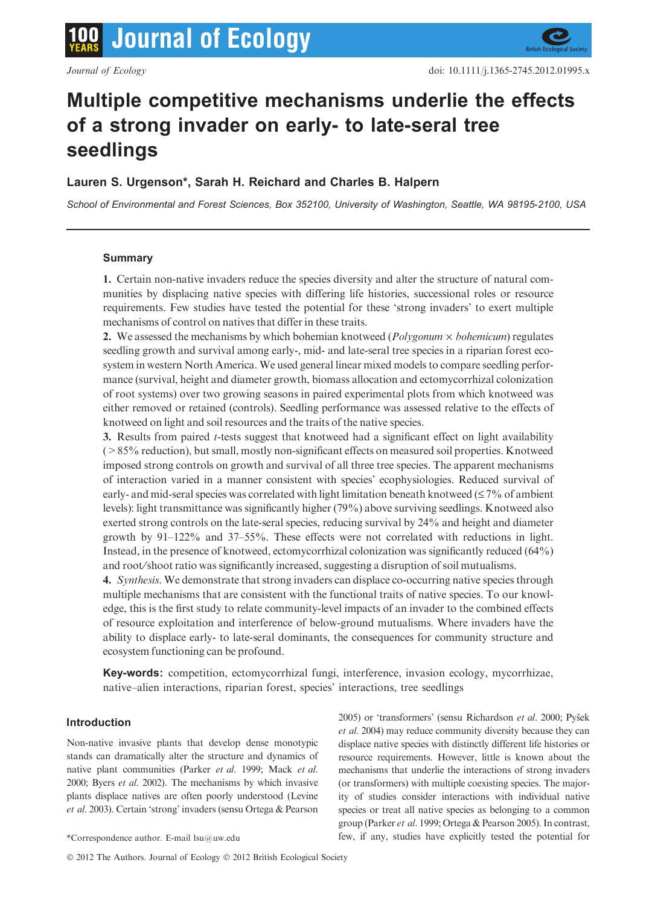# Multiple competitive mechanisms underlie the effects of a strong invader on early- to late-seral tree seedlings

# Lauren S. Urgenson\*, Sarah H. Reichard and Charles B. Halpern

School of Environmental and Forest Sciences, Box 352100, University of Washington, Seattle, WA 98195-2100, USA

# Summary

1. Certain non-native invaders reduce the species diversity and alter the structure of natural communities by displacing native species with differing life histories, successional roles or resource requirements. Few studies have tested the potential for these 'strong invaders' to exert multiple mechanisms of control on natives that differ in these traits.

2. We assessed the mechanisms by which bohemian knotweed ( $Polygonum \times bohemicum$ ) regulates seedling growth and survival among early-, mid- and late-seral tree species in a riparian forest ecosystem in western North America. We used general linear mixed models to compare seedling performance (survival, height and diameter growth, biomass allocation and ectomycorrhizal colonization of root systems) over two growing seasons in paired experimental plots from which knotweed was either removed or retained (controls). Seedling performance was assessed relative to the effects of knotweed on light and soil resources and the traits of the native species.

3. Results from paired t-tests suggest that knotweed had a significant effect on light availability (>85% reduction), but small, mostly non-significant effects on measured soil properties. Knotweed imposed strong controls on growth and survival of all three tree species. The apparent mechanisms of interaction varied in a manner consistent with species' ecophysiologies. Reduced survival of early- and mid-seral species was correlated with light limitation beneath knotweed  $(\leq 7\%$  of ambient levels): light transmittance was significantly higher (79%) above surviving seedlings. Knotweed also exerted strong controls on the late-seral species, reducing survival by 24% and height and diameter growth by 91–122% and 37–55%. These effects were not correlated with reductions in light. Instead, in the presence of knotweed, ectomycorrhizal colonization was significantly reduced (64%) and root⁄shoot ratio was significantly increased, suggesting a disruption of soil mutualisms.

4. Synthesis. We demonstrate that strong invaders can displace co-occurring native species through multiple mechanisms that are consistent with the functional traits of native species. To our knowledge, this is the first study to relate community-level impacts of an invader to the combined effects of resource exploitation and interference of below-ground mutualisms. Where invaders have the ability to displace early- to late-seral dominants, the consequences for community structure and ecosystem functioning can be profound.

Key-words: competition, ectomycorrhizal fungi, interference, invasion ecology, mycorrhizae, native–alien interactions, riparian forest, species' interactions, tree seedlings

# Introduction

Non-native invasive plants that develop dense monotypic stands can dramatically alter the structure and dynamics of native plant communities (Parker et al. 1999; Mack et al. 2000; Byers et al. 2002). The mechanisms by which invasive plants displace natives are often poorly understood (Levine et al. 2003). Certain 'strong' invaders (sensu Ortega & Pearson

© 2012 The Authors. Journal of Ecology © 2012 British Ecological Society

2005) or 'transformers' (sensu Richardson et al. 2000; Pyšek et al. 2004) may reduce community diversity because they can displace native species with distinctly different life histories or resource requirements. However, little is known about the mechanisms that underlie the interactions of strong invaders (or transformers) with multiple coexisting species. The majority of studies consider interactions with individual native species or treat all native species as belonging to a common group (Parker et al. 1999; Ortega & Pearson 2005). In contrast, \*Correspondence author. E-mail lsu@uw.edu few, if any, studies have explicitly tested the potential for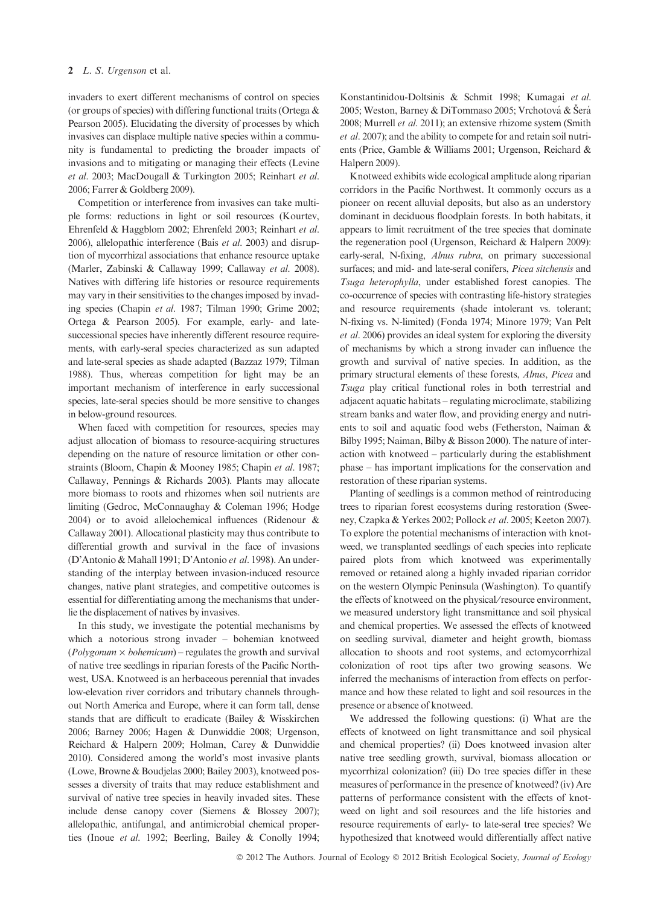invaders to exert different mechanisms of control on species (or groups of species) with differing functional traits (Ortega & Pearson 2005). Elucidating the diversity of processes by which invasives can displace multiple native species within a community is fundamental to predicting the broader impacts of invasions and to mitigating or managing their effects (Levine et al. 2003; MacDougall & Turkington 2005; Reinhart et al. 2006; Farrer & Goldberg 2009).

Competition or interference from invasives can take multiple forms: reductions in light or soil resources (Kourtev, Ehrenfeld & Haggblom 2002; Ehrenfeld 2003; Reinhart et al. 2006), allelopathic interference (Bais et al. 2003) and disruption of mycorrhizal associations that enhance resource uptake (Marler, Zabinski & Callaway 1999; Callaway et al. 2008). Natives with differing life histories or resource requirements may vary in their sensitivities to the changes imposed by invading species (Chapin et al. 1987; Tilman 1990; Grime 2002; Ortega & Pearson 2005). For example, early- and latesuccessional species have inherently different resource requirements, with early-seral species characterized as sun adapted and late-seral species as shade adapted (Bazzaz 1979; Tilman 1988). Thus, whereas competition for light may be an important mechanism of interference in early successional species, late-seral species should be more sensitive to changes in below-ground resources.

When faced with competition for resources, species may adjust allocation of biomass to resource-acquiring structures depending on the nature of resource limitation or other constraints (Bloom, Chapin & Mooney 1985; Chapin et al. 1987; Callaway, Pennings & Richards 2003). Plants may allocate more biomass to roots and rhizomes when soil nutrients are limiting (Gedroc, McConnaughay & Coleman 1996; Hodge 2004) or to avoid allelochemical influences (Ridenour & Callaway 2001). Allocational plasticity may thus contribute to differential growth and survival in the face of invasions (D'Antonio & Mahall 1991; D'Antonio et al. 1998). An understanding of the interplay between invasion-induced resource changes, native plant strategies, and competitive outcomes is essential for differentiating among the mechanisms that underlie the displacement of natives by invasives.

In this study, we investigate the potential mechanisms by which a notorious strong invader – bohemian knotweed  $(Polygonum \times bohemicum)$  – regulates the growth and survival of native tree seedlings in riparian forests of the Pacific Northwest, USA. Knotweed is an herbaceous perennial that invades low-elevation river corridors and tributary channels throughout North America and Europe, where it can form tall, dense stands that are difficult to eradicate (Bailey & Wisskirchen 2006; Barney 2006; Hagen & Dunwiddie 2008; Urgenson, Reichard & Halpern 2009; Holman, Carey & Dunwiddie 2010). Considered among the world's most invasive plants (Lowe, Browne & Boudjelas 2000; Bailey 2003), knotweed possesses a diversity of traits that may reduce establishment and survival of native tree species in heavily invaded sites. These include dense canopy cover (Siemens & Blossey 2007); allelopathic, antifungal, and antimicrobial chemical properties (Inoue et al. 1992; Beerling, Bailey & Conolly 1994; Konstantinidou-Doltsinis & Schmit 1998; Kumagai et al. 2005; Weston, Barney & DiTommaso 2005; Vrchotová & Šerá 2008; Murrell et al. 2011); an extensive rhizome system (Smith et al. 2007); and the ability to compete for and retain soil nutrients (Price, Gamble & Williams 2001; Urgenson, Reichard & Halpern 2009).

Knotweed exhibits wide ecological amplitude along riparian corridors in the Pacific Northwest. It commonly occurs as a pioneer on recent alluvial deposits, but also as an understory dominant in deciduous floodplain forests. In both habitats, it appears to limit recruitment of the tree species that dominate the regeneration pool (Urgenson, Reichard & Halpern 2009): early-seral, N-fixing, Alnus rubra, on primary successional surfaces; and mid- and late-seral conifers, Picea sitchensis and Tsuga heterophylla, under established forest canopies. The co-occurrence of species with contrasting life-history strategies and resource requirements (shade intolerant vs. tolerant; N-fixing vs. N-limited) (Fonda 1974; Minore 1979; Van Pelt et al. 2006) provides an ideal system for exploring the diversity of mechanisms by which a strong invader can influence the growth and survival of native species. In addition, as the primary structural elements of these forests, Alnus, Picea and Tsuga play critical functional roles in both terrestrial and adjacent aquatic habitats – regulating microclimate, stabilizing stream banks and water flow, and providing energy and nutrients to soil and aquatic food webs (Fetherston, Naiman & Bilby 1995; Naiman, Bilby & Bisson 2000). The nature of interaction with knotweed – particularly during the establishment phase – has important implications for the conservation and restoration of these riparian systems.

Planting of seedlings is a common method of reintroducing trees to riparian forest ecosystems during restoration (Sweeney, Czapka & Yerkes 2002; Pollock et al. 2005; Keeton 2007). To explore the potential mechanisms of interaction with knotweed, we transplanted seedlings of each species into replicate paired plots from which knotweed was experimentally removed or retained along a highly invaded riparian corridor on the western Olympic Peninsula (Washington). To quantify the effects of knotweed on the physical/resource environment, we measured understory light transmittance and soil physical and chemical properties. We assessed the effects of knotweed on seedling survival, diameter and height growth, biomass allocation to shoots and root systems, and ectomycorrhizal colonization of root tips after two growing seasons. We inferred the mechanisms of interaction from effects on performance and how these related to light and soil resources in the presence or absence of knotweed.

We addressed the following questions: (i) What are the effects of knotweed on light transmittance and soil physical and chemical properties? (ii) Does knotweed invasion alter native tree seedling growth, survival, biomass allocation or mycorrhizal colonization? (iii) Do tree species differ in these measures of performance in the presence of knotweed? (iv) Are patterns of performance consistent with the effects of knotweed on light and soil resources and the life histories and resource requirements of early- to late-seral tree species? We hypothesized that knotweed would differentially affect native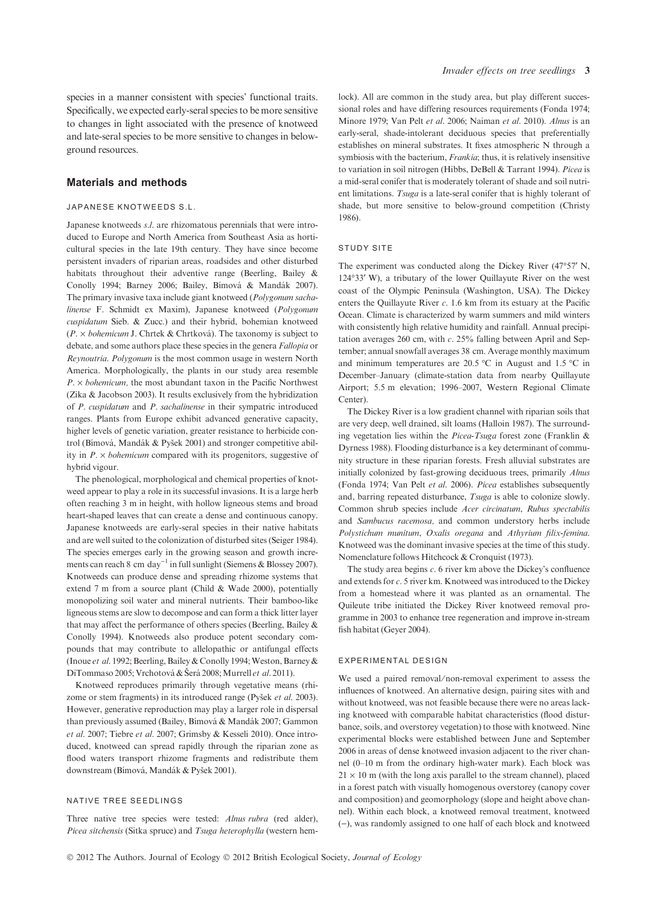species in a manner consistent with species' functional traits. Specifically, we expected early-seral species to be more sensitive to changes in light associated with the presence of knotweed and late-seral species to be more sensitive to changes in belowground resources.

# Materials and methods

## JAPANESE KNOTWEEDS S.L.

Japanese knotweeds s.l. are rhizomatous perennials that were introduced to Europe and North America from Southeast Asia as horticultural species in the late 19th century. They have since become persistent invaders of riparian areas, roadsides and other disturbed habitats throughout their adventive range (Beerling, Bailey & Conolly 1994; Barney 2006; Bailey, Bímová & Mandák 2007). The primary invasive taxa include giant knotweed (Polygonum sachalinense F. Schmidt ex Maxim), Japanese knotweed (Polygonum cuspidatum Sieb. & Zucc.) and their hybrid, bohemian knotweed  $(P. \times *bohemicum* J. Chrtek & Chrtková). The taxonomy is subject to$ debate, and some authors place these species in the genera Fallopia or Reynoutria. Polygonum is the most common usage in western North America. Morphologically, the plants in our study area resemble  $P \times$  bohemicum, the most abundant taxon in the Pacific Northwest (Zika & Jacobson 2003). It results exclusively from the hybridization of P. cuspidatum and P. sachalinense in their sympatric introduced ranges. Plants from Europe exhibit advanced generative capacity, higher levels of genetic variation, greater resistance to herbicide control (Bímová, Mandák & Pyšek 2001) and stronger competitive ability in  $P \times$  bohemicum compared with its progenitors, suggestive of hybrid vigour.

The phenological, morphological and chemical properties of knotweed appear to play a role in its successful invasions. It is a large herb often reaching 3 m in height, with hollow ligneous stems and broad heart-shaped leaves that can create a dense and continuous canopy. Japanese knotweeds are early-seral species in their native habitats and are well suited to the colonization of disturbed sites (Seiger 1984). The species emerges early in the growing season and growth increments can reach 8 cm day<sup>-1</sup> in full sunlight (Siemens & Blossey 2007). Knotweeds can produce dense and spreading rhizome systems that extend 7 m from a source plant (Child & Wade 2000), potentially monopolizing soil water and mineral nutrients. Their bamboo-like ligneous stems are slow to decompose and can form a thick litter layer that may affect the performance of others species (Beerling, Bailey & Conolly 1994). Knotweeds also produce potent secondary compounds that may contribute to allelopathic or antifungal effects (Inoue et al. 1992; Beerling, Bailey & Conolly 1994; Weston, Barney & DiTommaso 2005; Vrchotová & Šerá 2008; Murrell et al. 2011).

Knotweed reproduces primarily through vegetative means (rhizome or stem fragments) in its introduced range (Pyšek et al. 2003). However, generative reproduction may play a larger role in dispersal than previously assumed (Bailey, Bímová & Mandák 2007; Gammon et al. 2007; Tiebre et al. 2007; Grimsby & Kesseli 2010). Once introduced, knotweed can spread rapidly through the riparian zone as flood waters transport rhizome fragments and redistribute them downstream (Bímová, Mandák & Pyšek 2001).

#### NATIVE TREE SEEDLINGS

Three native tree species were tested: Alnus rubra (red alder), Picea sitchensis (Sitka spruce) and Tsuga heterophylla (western hemlock). All are common in the study area, but play different successional roles and have differing resources requirements (Fonda 1974; Minore 1979; Van Pelt et al. 2006; Naiman et al. 2010). Alnus is an early-seral, shade-intolerant deciduous species that preferentially establishes on mineral substrates. It fixes atmospheric N through a symbiosis with the bacterium, Frankia; thus, it is relatively insensitive to variation in soil nitrogen (Hibbs, DeBell & Tarrant 1994). Picea is a mid-seral conifer that is moderately tolerant of shade and soil nutrient limitations. Tsuga is a late-seral conifer that is highly tolerant of shade, but more sensitive to below-ground competition (Christy 1986).

## STUDY SITE

The experiment was conducted along the Dickey River  $(47°57'$  N,  $124^{\circ}33'$  W), a tributary of the lower Quillayute River on the west coast of the Olympic Peninsula (Washington, USA). The Dickey enters the Quillayute River  $c$ . 1.6 km from its estuary at the Pacific Ocean. Climate is characterized by warm summers and mild winters with consistently high relative humidity and rainfall. Annual precipitation averages 260 cm, with  $c$ . 25% falling between April and September; annual snowfall averages 38 cm. Average monthly maximum and minimum temperatures are 20.5 °C in August and 1.5 °C in December–January (climate-station data from nearby Quillayute Airport; 5.5 m elevation; 1996–2007, Western Regional Climate Center).

The Dickey River is a low gradient channel with riparian soils that are very deep, well drained, silt loams (Halloin 1987). The surrounding vegetation lies within the Picea-Tsuga forest zone (Franklin & Dyrness 1988). Flooding disturbance is a key determinant of community structure in these riparian forests. Fresh alluvial substrates are initially colonized by fast-growing deciduous trees, primarily Alnus (Fonda 1974; Van Pelt et al. 2006). Picea establishes subsequently and, barring repeated disturbance, Tsuga is able to colonize slowly. Common shrub species include Acer circinatum, Rubus spectabilis and Sambucus racemosa, and common understory herbs include Polystichum munitum, Oxalis oregana and Athyrium filix-femina. Knotweed was the dominant invasive species at the time of this study. Nomenclature follows Hitchcock & Cronquist (1973).

The study area begins  $c$ . 6 river km above the Dickey's confluence and extends for c. 5 river km. Knotweed was introduced to the Dickey from a homestead where it was planted as an ornamental. The Quileute tribe initiated the Dickey River knotweed removal programme in 2003 to enhance tree regeneration and improve in-stream fish habitat (Geyer 2004).

#### EXPERIMENTAL DESIGN

We used a paired removal/non-removal experiment to assess the influences of knotweed. An alternative design, pairing sites with and without knotweed, was not feasible because there were no areas lacking knotweed with comparable habitat characteristics (flood disturbance, soils, and overstorey vegetation) to those with knotweed. Nine experimental blocks were established between June and September 2006 in areas of dense knotweed invasion adjacent to the river channel (0–10 m from the ordinary high-water mark). Each block was  $21 \times 10$  m (with the long axis parallel to the stream channel), placed in a forest patch with visually homogenous overstorey (canopy cover and composition) and geomorphology (slope and height above channel). Within each block, a knotweed removal treatment, knotweed ()), was randomly assigned to one half of each block and knotweed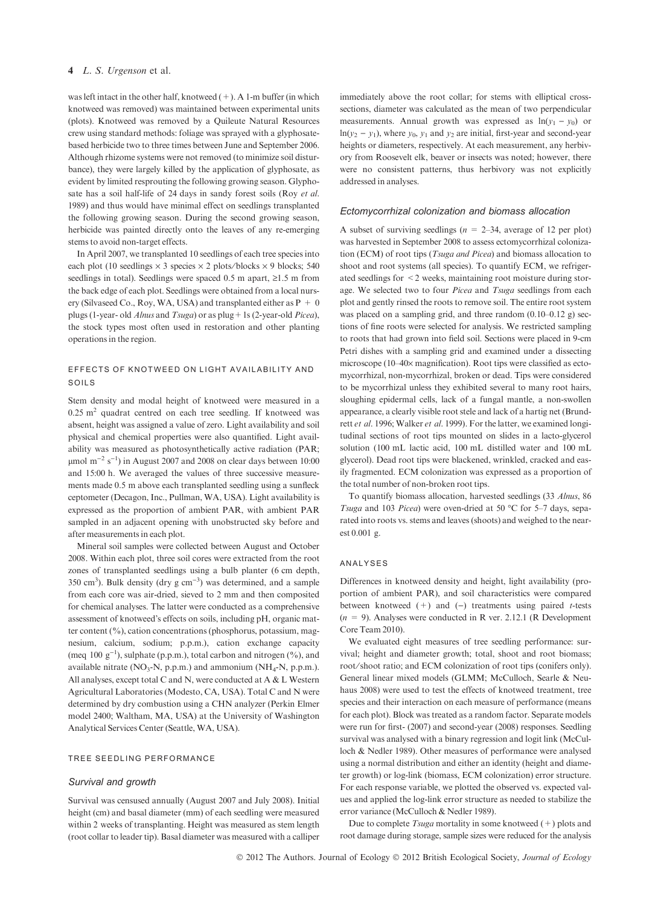was left intact in the other half, knotweed  $(+)$ . A 1-m buffer (in which knotweed was removed) was maintained between experimental units (plots). Knotweed was removed by a Quileute Natural Resources crew using standard methods: foliage was sprayed with a glyphosatebased herbicide two to three times between June and September 2006. Although rhizome systems were not removed (to minimize soil disturbance), they were largely killed by the application of glyphosate, as evident by limited resprouting the following growing season. Glyphosate has a soil half-life of 24 days in sandy forest soils (Roy et al. 1989) and thus would have minimal effect on seedlings transplanted the following growing season. During the second growing season, herbicide was painted directly onto the leaves of any re-emerging stems to avoid non-target effects.

In April 2007, we transplanted 10 seedlings of each tree species into each plot (10 seedlings  $\times$  3 species  $\times$  2 plots/blocks  $\times$  9 blocks; 540 seedlings in total). Seedlings were spaced 0.5 m apart,  $\geq$ 1.5 m from the back edge of each plot. Seedlings were obtained from a local nursery (Silvaseed Co., Roy, WA, USA) and transplanted either as  $P + 0$ plugs (1-year- old Alnus and Tsuga) or as plug + 1s (2-year-old Picea), the stock types most often used in restoration and other planting operations in the region.

## EFFECTS OF KNOTWEED ON LIGHT AVAILABILITY AND SOILS

Stem density and modal height of knotweed were measured in a  $0.25$  m<sup>2</sup> quadrat centred on each tree seedling. If knotweed was absent, height was assigned a value of zero. Light availability and soil physical and chemical properties were also quantified. Light availability was measured as photosynthetically active radiation (PAR;  $\mu$ mol m<sup>-2</sup> s<sup>-1</sup>) in August 2007 and 2008 on clear days between 10:00 and 15:00 h. We averaged the values of three successive measurements made 0.5 m above each transplanted seedling using a sunfleck ceptometer (Decagon, Inc., Pullman, WA, USA). Light availability is expressed as the proportion of ambient PAR, with ambient PAR sampled in an adjacent opening with unobstructed sky before and after measurements in each plot.

Mineral soil samples were collected between August and October 2008. Within each plot, three soil cores were extracted from the root zones of transplanted seedlings using a bulb planter (6 cm depth, 350 cm<sup>3</sup>). Bulk density (dry g cm<sup>-3</sup>) was determined, and a sample from each core was air-dried, sieved to 2 mm and then composited for chemical analyses. The latter were conducted as a comprehensive assessment of knotweed's effects on soils, including pH, organic matter content  $(\%)$ , cation concentrations (phosphorus, potassium, magnesium, calcium, sodium; p.p.m.), cation exchange capacity (meq 100  $g^{-1}$ ), sulphate (p.p.m.), total carbon and nitrogen (%), and available nitrate  $(NO_3-N, p.p.m.)$  and ammonium  $(NH_4-N, p.p.m.).$ All analyses, except total C and N, were conducted at A & L Western Agricultural Laboratories (Modesto, CA, USA). Total C and N were determined by dry combustion using a CHN analyzer (Perkin Elmer model 2400; Waltham, MA, USA) at the University of Washington Analytical Services Center (Seattle, WA, USA).

#### TREE SEEDLING PERFORMANCE

#### Survival and growth

Survival was censused annually (August 2007 and July 2008). Initial height (cm) and basal diameter (mm) of each seedling were measured within 2 weeks of transplanting. Height was measured as stem length (root collar to leader tip). Basal diameter was measured with a calliper

immediately above the root collar; for stems with elliptical crosssections, diameter was calculated as the mean of two perpendicular measurements. Annual growth was expressed as  $ln(y_1 - y_0)$  or  $ln(v_2 - v_1)$ , where  $v_0$ ,  $v_1$  and  $v_2$  are initial, first-year and second-year heights or diameters, respectively. At each measurement, any herbivory from Roosevelt elk, beaver or insects was noted; however, there were no consistent patterns, thus herbivory was not explicitly addressed in analyses.

## Ectomycorrhizal colonization and biomass allocation

A subset of surviving seedlings ( $n = 2-34$ , average of 12 per plot) was harvested in September 2008 to assess ectomycorrhizal colonization (ECM) of root tips (Tsuga and Picea) and biomass allocation to shoot and root systems (all species). To quantify ECM, we refrigerated seedlings for <2 weeks, maintaining root moisture during storage. We selected two to four Picea and Tsuga seedlings from each plot and gently rinsed the roots to remove soil. The entire root system was placed on a sampling grid, and three random  $(0.10-0.12 \text{ g})$  sections of fine roots were selected for analysis. We restricted sampling to roots that had grown into field soil. Sections were placed in 9-cm Petri dishes with a sampling grid and examined under a dissecting microscope (10-40× magnification). Root tips were classified as ectomycorrhizal, non-mycorrhizal, broken or dead. Tips were considered to be mycorrhizal unless they exhibited several to many root hairs, sloughing epidermal cells, lack of a fungal mantle, a non-swollen appearance, a clearly visible root stele and lack of a hartig net (Brundrett et al. 1996; Walker et al. 1999). For the latter, we examined longitudinal sections of root tips mounted on slides in a lacto-glycerol solution (100 mL lactic acid, 100 mL distilled water and 100 mL glycerol). Dead root tips were blackened, wrinkled, cracked and easily fragmented. ECM colonization was expressed as a proportion of the total number of non-broken root tips.

To quantify biomass allocation, harvested seedlings (33 Alnus, 86 Tsuga and 103 Picea) were oven-dried at 50 °C for 5-7 days, separated into roots vs. stems and leaves (shoots) and weighed to the nearest 0.001 g.

#### ANALYSES

Differences in knotweed density and height, light availability (proportion of ambient PAR), and soil characteristics were compared between knotweed  $(+)$  and  $(-)$  treatments using paired *t*-tests  $(n = 9)$ . Analyses were conducted in R ver. 2.12.1 (R Development Core Team 2010).

We evaluated eight measures of tree seedling performance: survival; height and diameter growth; total, shoot and root biomass; root⁄shoot ratio; and ECM colonization of root tips (conifers only). General linear mixed models (GLMM; McCulloch, Searle & Neuhaus 2008) were used to test the effects of knotweed treatment, tree species and their interaction on each measure of performance (means for each plot). Block was treated as a random factor. Separate models were run for first- (2007) and second-year (2008) responses. Seedling survival was analysed with a binary regression and logit link (McCulloch & Nedler 1989). Other measures of performance were analysed using a normal distribution and either an identity (height and diameter growth) or log-link (biomass, ECM colonization) error structure. For each response variable, we plotted the observed vs. expected values and applied the log-link error structure as needed to stabilize the error variance (McCulloch & Nedler 1989).

Due to complete  $Tsuga$  mortality in some knotweed  $(+)$  plots and root damage during storage, sample sizes were reduced for the analysis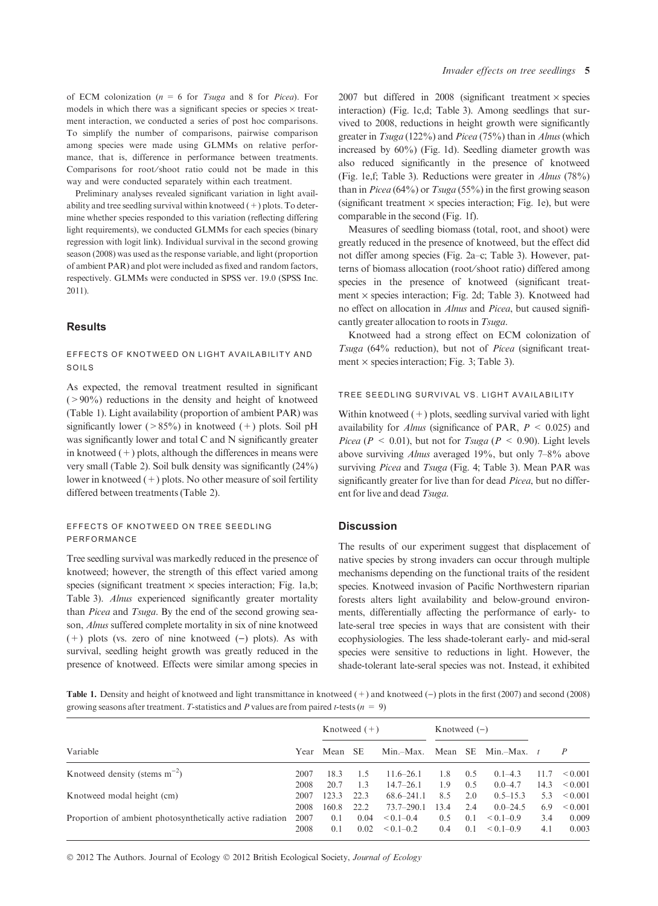of ECM colonization ( $n = 6$  for Tsuga and 8 for Picea). For models in which there was a significant species or species  $\times$  treatment interaction, we conducted a series of post hoc comparisons. To simplify the number of comparisons, pairwise comparison among species were made using GLMMs on relative performance, that is, difference in performance between treatments. Comparisons for root/shoot ratio could not be made in this way and were conducted separately within each treatment.

Preliminary analyses revealed significant variation in light availability and tree seedling survival within knotweed  $(+)$  plots. To determine whether species responded to this variation (reflecting differing light requirements), we conducted GLMMs for each species (binary regression with logit link). Individual survival in the second growing season (2008) was used as the response variable, and light (proportion of ambient PAR) and plot were included as fixed and random factors, respectively. GLMMs were conducted in SPSS ver. 19.0 (SPSS Inc. 2011).

# Results

## EFFECTS OF KNOTWEED ON LIGHT AVAILABILITY AND SOILS

As expected, the removal treatment resulted in significant  $(>90\%)$  reductions in the density and height of knotweed (Table 1). Light availability (proportion of ambient PAR) was significantly lower ( $>85\%$ ) in knotweed (+) plots. Soil pH was significantly lower and total C and N significantly greater in knotweed  $(+)$  plots, although the differences in means were very small (Table 2). Soil bulk density was significantly (24%) lower in knotweed  $(+)$  plots. No other measure of soil fertility differed between treatments (Table 2).

## EFFECTS OF KNOTWEED ON TREE SEEDLING PERFORMANCE

Tree seedling survival was markedly reduced in the presence of knotweed; however, the strength of this effect varied among species (significant treatment  $\times$  species interaction; Fig. 1a,b; Table 3). Alnus experienced significantly greater mortality than Picea and Tsuga. By the end of the second growing season, Alnus suffered complete mortality in six of nine knotweed  $(+)$  plots (vs. zero of nine knotweed  $(-)$  plots). As with survival, seedling height growth was greatly reduced in the presence of knotweed. Effects were similar among species in

2007 but differed in 2008 (significant treatment  $\times$  species interaction) (Fig. 1c,d; Table 3). Among seedlings that survived to 2008, reductions in height growth were significantly greater in Tsuga (122%) and Picea (75%) than in Alnus (which increased by 60%) (Fig. 1d). Seedling diameter growth was also reduced significantly in the presence of knotweed (Fig. 1e,f; Table 3). Reductions were greater in Alnus (78%) than in *Picea* (64%) or  $Tsuga(55%)$  in the first growing season (significant treatment  $\times$  species interaction; Fig. 1e), but were comparable in the second (Fig. 1f).

Measures of seedling biomass (total, root, and shoot) were greatly reduced in the presence of knotweed, but the effect did not differ among species (Fig. 2a–c; Table 3). However, patterns of biomass allocation (root⁄shoot ratio) differed among species in the presence of knotweed (significant treatment  $\times$  species interaction; Fig. 2d; Table 3). Knotweed had no effect on allocation in Alnus and Picea, but caused significantly greater allocation to roots in Tsuga.

Knotweed had a strong effect on ECM colonization of Tsuga (64% reduction), but not of Picea (significant treatment  $\times$  species interaction; Fig. 3; Table 3).

## TREE SEEDLING SURVIVAL VS. LIGHT AVAILABILITY

Within knotweed  $(+)$  plots, seedling survival varied with light availability for *Alnus* (significance of PAR,  $P \leq 0.025$ ) and Picea ( $P < 0.01$ ), but not for Tsuga ( $P < 0.90$ ). Light levels above surviving Alnus averaged 19%, but only 7–8% above surviving Picea and Tsuga (Fig. 4; Table 3). Mean PAR was significantly greater for live than for dead *Picea*, but no different for live and dead Tsuga.

## **Discussion**

The results of our experiment suggest that displacement of native species by strong invaders can occur through multiple mechanisms depending on the functional traits of the resident species. Knotweed invasion of Pacific Northwestern riparian forests alters light availability and below-ground environments, differentially affecting the performance of early- to late-seral tree species in ways that are consistent with their ecophysiologies. The less shade-tolerant early- and mid-seral species were sensitive to reductions in light. However, the shade-tolerant late-seral species was not. Instead, it exhibited

Table 1. Density and height of knotweed and light transmittance in knotweed (+) and knotweed (-) plots in the first (2007) and second (2008) growing seasons after treatment. T-statistics and P values are from paired t-tests ( $n = 9$ )

|                                                           | Year | Knotweed $(+)$ |           |                | Knotweed $(-)$ |     |               |      |              |
|-----------------------------------------------------------|------|----------------|-----------|----------------|----------------|-----|---------------|------|--------------|
| Variable                                                  |      | Mean           | <b>SE</b> | $Min-Max$ .    | Mean           | SE. | Min.-Max.     |      |              |
| Knotweed density (stems $m^{-2}$ )                        | 2007 | 18.3           | 1.5       | $11.6 - 26.1$  | 1.8            | 0.5 | $0.1 - 4.3$   | 11.7 | ${}_{0.001}$ |
|                                                           | 2008 | 20.7           | 1.3       | $14.7 - 26.1$  | 1.9            | 0.5 | $0.0 - 4.7$   | 14.3 | ${}_{0.001}$ |
| Knotweed modal height (cm)                                | 2007 | 123.3          | 22.3      | $68.6 - 241.1$ | 8.5            | 2.0 | $0.5 - 15.3$  | 5.3  | ${}_{0.001}$ |
|                                                           | 2008 | 160.8          | 22.2      | $73.7 - 290.1$ | 13.4           | 2.4 | $0.0 - 24.5$  | 6.9  | ${}_{0.001}$ |
| Proportion of ambient photosynthetically active radiation | 2007 | 0.1            | 0.04      | $< 0.1 - 0.4$  | 0.5            | 0.1 | $< 0.1 - 0.9$ | 3.4  | 0.009        |
|                                                           |      | 0.1            | 0.02      | $< 0.1 - 0.2$  | 0.4            | 0.1 | $< 0.1 - 0.9$ | 4.1  | 0.003        |

© 2012 The Authors. Journal of Ecology © 2012 British Ecological Society, Journal of Ecology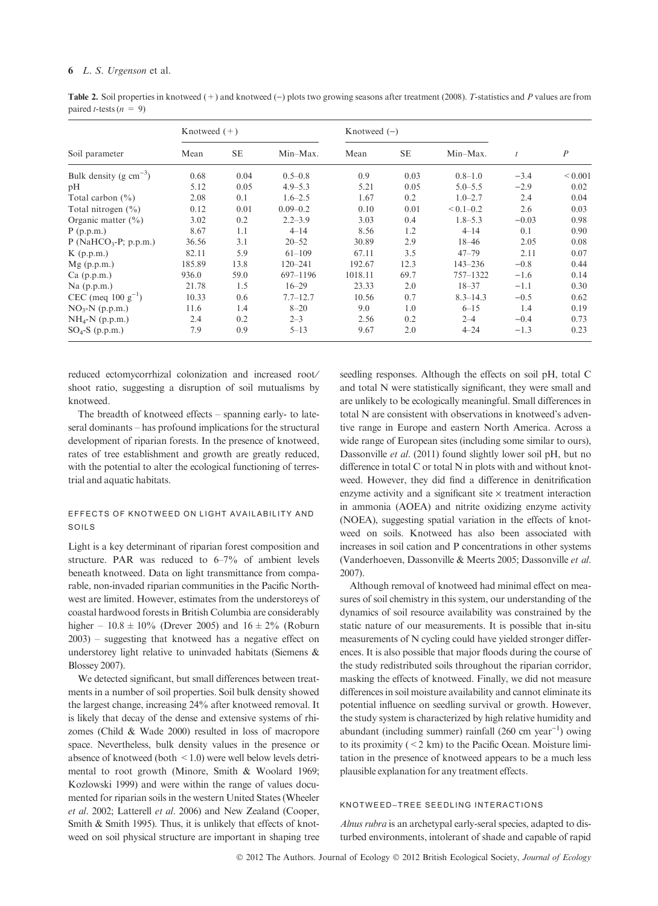Table 2. Soil properties in knotweed  $(+)$  and knotweed  $(-)$  plots two growing seasons after treatment (2008). T-statistics and P values are from paired *t*-tests  $(n = 9)$ 

| Soil parameter              | Knotweed $(+)$ |           |              | Knotweed $(-)$ |           |               |         |                  |
|-----------------------------|----------------|-----------|--------------|----------------|-----------|---------------|---------|------------------|
|                             | Mean           | <b>SE</b> | Min-Max.     | Mean           | <b>SE</b> | Min-Max.      |         | $\boldsymbol{P}$ |
| Bulk density (g $cm^{-3}$ ) | 0.68           | 0.04      | $0.5 - 0.8$  | 0.9            | 0.03      | $0.8 - 1.0$   | $-3.4$  | ${}< 0.001$      |
| pH                          | 5.12           | 0.05      | $4.9 - 5.3$  | 5.21           | 0.05      | $5.0 - 5.5$   | $-2.9$  | 0.02             |
| Total carbon $(\%)$         | 2.08           | 0.1       | $1.6 - 2.5$  | 1.67           | 0.2       | $1.0 - 2.7$   | 2.4     | 0.04             |
| Total nitrogen $(\% )$      | 0.12           | 0.01      | $0.09 - 0.2$ | 0.10           | 0.01      | $< 0.1 - 0.2$ | 2.6     | 0.03             |
| Organic matter $(\% )$      | 3.02           | 0.2       | $2.2 - 3.9$  | 3.03           | 0.4       | $1.8 - 5.3$   | $-0.03$ | 0.98             |
| P(p.p.m.)                   | 8.67           | 1.1       | $4 - 14$     | 8.56           | 1.2       | $4 - 14$      | 0.1     | 0.90             |
| $P(NaHCO3-P; p.p.m.)$       | 36.56          | 3.1       | $20 - 52$    | 30.89          | 2.9       | $18 - 46$     | 2.05    | 0.08             |
| $K$ (p.p.m.)                | 82.11          | 5.9       | $61 - 109$   | 67.11          | 3.5       | $47 - 79$     | 2.11    | 0.07             |
| Mg(p.p.m.)                  | 185.89         | 13.8      | $120 - 241$  | 192.67         | 12.3      | $143 - 236$   | $-0.8$  | 0.44             |
| $Ca$ (p.p.m.)               | 936.0          | 59.0      | 697-1196     | 1018.11        | 69.7      | $757 - 1322$  | $-1.6$  | 0.14             |
| $Na$ (p.p.m.)               | 21.78          | 1.5       | $16 - 29$    | 23.33          | 2.0       | $18 - 37$     | $-1.1$  | 0.30             |
| CEC (meq $100 g^{-1}$ )     | 10.33          | 0.6       | $7.7 - 12.7$ | 10.56          | 0.7       | $8.3 - 14.3$  | $-0.5$  | 0.62             |
| $NO3-N$ (p.p.m.)            | 11.6           | 1.4       | $8 - 20$     | 9.0            | 1.0       | $6 - 15$      | 1.4     | 0.19             |
| $NH_4-N$ (p.p.m.)           | 2.4            | 0.2       | $2 - 3$      | 2.56           | 0.2       | $2 - 4$       | $-0.4$  | 0.73             |
| $SO_4-S$ (p.p.m.)           | 7.9            | 0.9       | $5 - 13$     | 9.67           | 2.0       | $4 - 24$      | $-1.3$  | 0.23             |

reduced ectomycorrhizal colonization and increased root⁄ shoot ratio, suggesting a disruption of soil mutualisms by knotweed.

The breadth of knotweed effects – spanning early- to lateseral dominants – has profound implications for the structural development of riparian forests. In the presence of knotweed, rates of tree establishment and growth are greatly reduced, with the potential to alter the ecological functioning of terrestrial and aquatic habitats.

# EFFECTS OF KNOTWEED ON LIGHT AVAILABILITY AND SOILS

Light is a key determinant of riparian forest composition and structure. PAR was reduced to 6–7% of ambient levels beneath knotweed. Data on light transmittance from comparable, non-invaded riparian communities in the Pacific Northwest are limited. However, estimates from the understoreys of coastal hardwood forests in British Columbia are considerably higher –  $10.8 \pm 10\%$  (Drever 2005) and  $16 \pm 2\%$  (Roburn 2003) – suggesting that knotweed has a negative effect on understorey light relative to uninvaded habitats (Siemens & Blossey 2007).

We detected significant, but small differences between treatments in a number of soil properties. Soil bulk density showed the largest change, increasing 24% after knotweed removal. It is likely that decay of the dense and extensive systems of rhizomes (Child & Wade 2000) resulted in loss of macropore space. Nevertheless, bulk density values in the presence or absence of knotweed (both  $\leq$  1.0) were well below levels detrimental to root growth (Minore, Smith & Woolard 1969; Kozlowski 1999) and were within the range of values documented for riparian soils in the western United States (Wheeler et al. 2002; Latterell et al. 2006) and New Zealand (Cooper, Smith & Smith 1995). Thus, it is unlikely that effects of knotweed on soil physical structure are important in shaping tree seedling responses. Although the effects on soil pH, total C and total N were statistically significant, they were small and are unlikely to be ecologically meaningful. Small differences in total N are consistent with observations in knotweed's adventive range in Europe and eastern North America. Across a wide range of European sites (including some similar to ours), Dassonville et al. (2011) found slightly lower soil pH, but no difference in total C or total N in plots with and without knotweed. However, they did find a difference in denitrification enzyme activity and a significant site  $\times$  treatment interaction in ammonia (AOEA) and nitrite oxidizing enzyme activity (NOEA), suggesting spatial variation in the effects of knotweed on soils. Knotweed has also been associated with increases in soil cation and P concentrations in other systems (Vanderhoeven, Dassonville & Meerts 2005; Dassonville et al. 2007).

Although removal of knotweed had minimal effect on measures of soil chemistry in this system, our understanding of the dynamics of soil resource availability was constrained by the static nature of our measurements. It is possible that in-situ measurements of N cycling could have yielded stronger differences. It is also possible that major floods during the course of the study redistributed soils throughout the riparian corridor, masking the effects of knotweed. Finally, we did not measure differences in soil moisture availability and cannot eliminate its potential influence on seedling survival or growth. However, the study system is characterized by high relative humidity and abundant (including summer) rainfall  $(260 \text{ cm } \text{year}^{-1})$  owing to its proximity  $(< 2 \text{ km})$  to the Pacific Ocean. Moisture limitation in the presence of knotweed appears to be a much less plausible explanation for any treatment effects.

## KNOTWEED–TREE SEEDLING INTERACTIONS

Alnus rubra is an archetypal early-seral species, adapted to disturbed environments, intolerant of shade and capable of rapid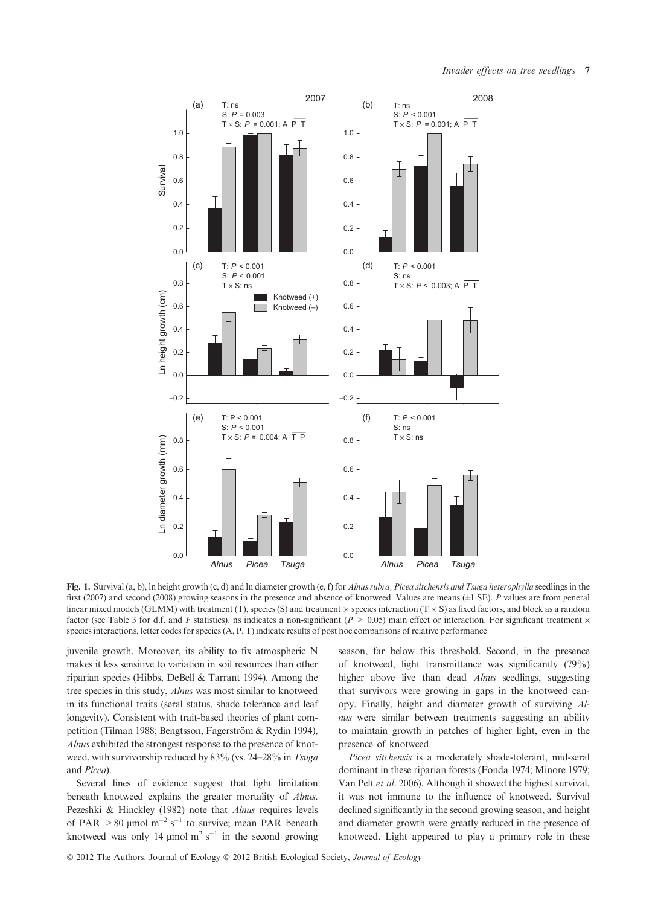Invader effects on tree seedlings 7



Fig. 1. Survival (a, b), ln height growth (c, d) and ln diameter growth (e, f) for Alnus rubra, Picea sitchensis and Tsuga heterophylla seedlings in the first (2007) and second (2008) growing seasons in the presence and absence of knotweed. Values are means (±1 SE). P values are from general linear mixed models (GLMM) with treatment (T), species (S) and treatment  $\times$  species interaction (T  $\times$  S) as fixed factors, and block as a random factor (see Table 3 for d.f. and F statistics). ns indicates a non-significant ( $P > 0.05$ ) main effect or interaction. For significant treatment  $\times$ species interactions, letter codes for species  $(A, P, T)$  indicate results of post hoc comparisons of relative performance

juvenile growth. Moreover, its ability to fix atmospheric N makes it less sensitive to variation in soil resources than other riparian species (Hibbs, DeBell & Tarrant 1994). Among the tree species in this study, Alnus was most similar to knotweed in its functional traits (seral status, shade tolerance and leaf longevity). Consistent with trait-based theories of plant competition (Tilman 1988; Bengtsson, Fagerström & Rydin 1994), Alnus exhibited the strongest response to the presence of knotweed, with survivorship reduced by 83% (vs. 24–28% in Tsuga and Picea).

Several lines of evidence suggest that light limitation beneath knotweed explains the greater mortality of Alnus. Pezeshki & Hinckley (1982) note that *Alnus* requires levels of PAR  $> 80$  µmol m<sup>-2</sup> s<sup>-1</sup> to survive; mean PAR beneath knotweed was only 14  $\mu$ mol m<sup>2</sup> s<sup>-1</sup> in the second growing

season, far below this threshold. Second, in the presence of knotweed, light transmittance was significantly (79%) higher above live than dead Alnus seedlings, suggesting that survivors were growing in gaps in the knotweed canopy. Finally, height and diameter growth of surviving Alnus were similar between treatments suggesting an ability to maintain growth in patches of higher light, even in the presence of knotweed.

Picea sitchensis is a moderately shade-tolerant, mid-seral dominant in these riparian forests (Fonda 1974; Minore 1979; Van Pelt et al. 2006). Although it showed the highest survival, it was not immune to the influence of knotweed. Survival declined significantly in the second growing season, and height and diameter growth were greatly reduced in the presence of knotweed. Light appeared to play a primary role in these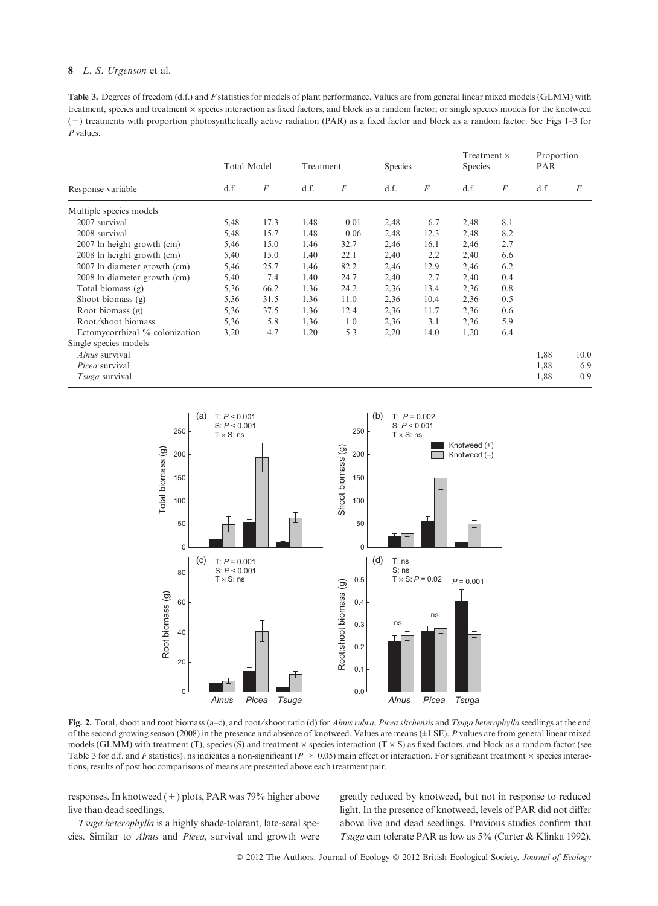Table 3. Degrees of freedom (d.f.) and F statistics for models of plant performance. Values are from general linear mixed models (GLMM) with treatment, species and treatment  $\times$  species interaction as fixed factors, and block as a random factor; or single species models for the knotweed (+) treatments with proportion photosynthetically active radiation (PAR) as a fixed factor and block as a random factor. See Figs 1–3 for P values.

| Response variable              | Total Model |                  | Treatment |          | <b>Species</b> |                  | Treatment $\times$<br>Species |                  | Proportion<br><b>PAR</b> |                  |
|--------------------------------|-------------|------------------|-----------|----------|----------------|------------------|-------------------------------|------------------|--------------------------|------------------|
|                                | d.f.        | $\boldsymbol{F}$ | d.f.      | $\cal F$ | d.f.           | $\boldsymbol{F}$ | d.f.                          | $\boldsymbol{F}$ | d.f.                     | $\boldsymbol{F}$ |
| Multiple species models        |             |                  |           |          |                |                  |                               |                  |                          |                  |
| 2007 survival                  | 5,48        | 17.3             | 1,48      | 0.01     | 2,48           | 6.7              | 2,48                          | 8.1              |                          |                  |
| 2008 survival                  | 5,48        | 15.7             | 1,48      | 0.06     | 2,48           | 12.3             | 2,48                          | 8.2              |                          |                  |
| 2007 ln height growth (cm)     | 5,46        | 15.0             | 1,46      | 32.7     | 2,46           | 16.1             | 2,46                          | 2.7              |                          |                  |
| 2008 ln height growth (cm)     | 5,40        | 15.0             | 1,40      | 22.1     | 2,40           | 2.2              | 2,40                          | 6.6              |                          |                  |
| 2007 In diameter growth (cm)   | 5,46        | 25.7             | 1,46      | 82.2     | 2,46           | 12.9             | 2,46                          | 6.2              |                          |                  |
| 2008 In diameter growth (cm)   | 5,40        | 7.4              | 1,40      | 24.7     | 2,40           | 2.7              | 2,40                          | 0.4              |                          |                  |
| Total biomass (g)              | 5,36        | 66.2             | 1,36      | 24.2     | 2,36           | 13.4             | 2,36                          | 0.8              |                          |                  |
| Shoot biomass $(g)$            | 5,36        | 31.5             | 1,36      | 11.0     | 2,36           | 10.4             | 2,36                          | 0.5              |                          |                  |
| Root biomass $(g)$             | 5,36        | 37.5             | 1,36      | 12.4     | 2,36           | 11.7             | 2,36                          | 0.6              |                          |                  |
| Root/shoot biomass             | 5,36        | 5.8              | 1,36      | 1.0      | 2,36           | 3.1              | 2,36                          | 5.9              |                          |                  |
| Ectomycorrhizal % colonization | 3,20        | 4.7              | 1,20      | 5.3      | 2,20           | 14.0             | 1,20                          | 6.4              |                          |                  |
| Single species models          |             |                  |           |          |                |                  |                               |                  |                          |                  |
| <i>Alnus</i> survival          |             |                  |           |          |                |                  |                               |                  | 1,88                     | 10.0             |
| <i>Picea</i> survival          |             |                  |           |          |                |                  |                               |                  | 1,88                     | 6.9              |
| <i>Tsuga</i> survival          |             |                  |           |          |                |                  |                               |                  | 1,88                     | 0.9              |



Fig. 2. Total, shoot and root biomass (a–c), and root/shoot ratio (d) for Alnus rubra, Picea sitchensis and Tsuga heterophylla seedlings at the end of the second growing season (2008) in the presence and absence of knotweed. Values are means (±1 SE). P values are from general linear mixed models (GLMM) with treatment (T), species (S) and treatment  $\times$  species interaction (T  $\times$  S) as fixed factors, and block as a random factor (see Table 3 for d.f. and F statistics). ns indicates a non-significant ( $P > 0.05$ ) main effect or interaction. For significant treatment  $\times$  species interactions, results of post hoc comparisons of means are presented above each treatment pair.

responses. In knotweed (+) plots, PAR was 79% higher above live than dead seedlings.

Tsuga heterophylla is a highly shade-tolerant, late-seral species. Similar to Alnus and Picea, survival and growth were

greatly reduced by knotweed, but not in response to reduced light. In the presence of knotweed, levels of PAR did not differ above live and dead seedlings. Previous studies confirm that Tsuga can tolerate PAR as low as 5% (Carter & Klinka 1992),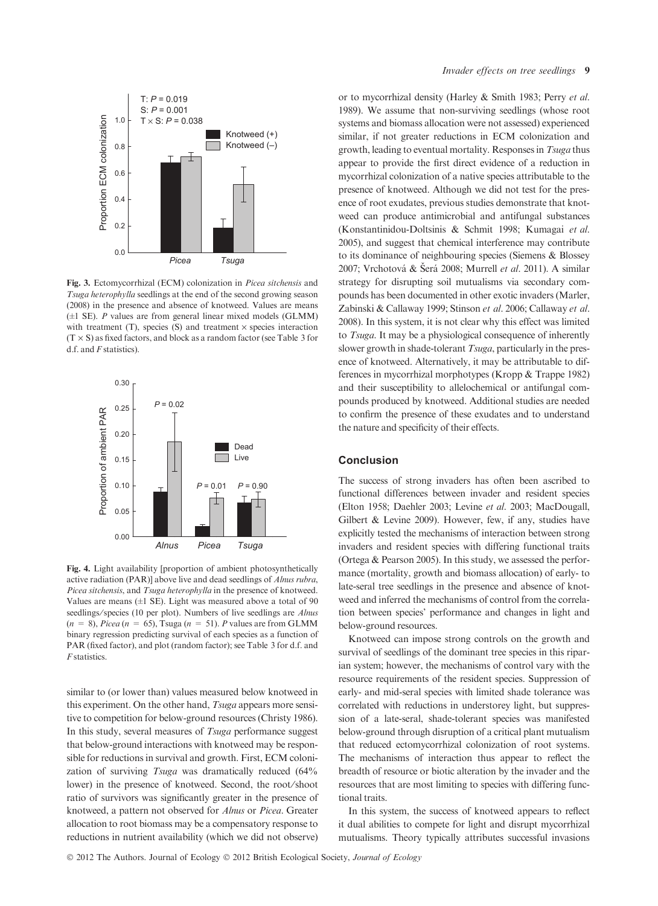

Fig. 3. Ectomycorrhizal (ECM) colonization in Picea sitchensis and Tsuga heterophylla seedlings at the end of the second growing season (2008) in the presence and absence of knotweed. Values are means  $(\pm 1 \text{ SE})$ . P values are from general linear mixed models (GLMM) with treatment  $(T)$ , species  $(S)$  and treatment  $\times$  species interaction  $(T \times S)$  as fixed factors, and block as a random factor (see Table 3 for d.f. and *F* statistics).



Fig. 4. Light availability [proportion of ambient photosynthetically active radiation (PAR)] above live and dead seedlings of Alnus rubra, Picea sitchensis, and Tsuga heterophylla in the presence of knotweed. Values are means  $(\pm 1 \text{ SE})$ . Light was measured above a total of 90 seedlings/species (10 per plot). Numbers of live seedlings are Alnus  $(n = 8)$ , Picea  $(n = 65)$ , Tsuga  $(n = 51)$ . P values are from GLMM binary regression predicting survival of each species as a function of PAR (fixed factor), and plot (random factor); see Table 3 for d.f. and F statistics.

similar to (or lower than) values measured below knotweed in this experiment. On the other hand, *Tsuga* appears more sensitive to competition for below-ground resources (Christy 1986). In this study, several measures of *Tsuga* performance suggest that below-ground interactions with knotweed may be responsible for reductions in survival and growth. First, ECM colonization of surviving Tsuga was dramatically reduced (64% lower) in the presence of knotweed. Second, the root⁄shoot ratio of survivors was significantly greater in the presence of knotweed, a pattern not observed for Alnus or Picea. Greater allocation to root biomass may be a compensatory response to reductions in nutrient availability (which we did not observe) or to mycorrhizal density (Harley & Smith 1983; Perry et al. 1989). We assume that non-surviving seedlings (whose root systems and biomass allocation were not assessed) experienced similar, if not greater reductions in ECM colonization and growth, leading to eventual mortality. Responses in Tsuga thus appear to provide the first direct evidence of a reduction in mycorrhizal colonization of a native species attributable to the presence of knotweed. Although we did not test for the presence of root exudates, previous studies demonstrate that knotweed can produce antimicrobial and antifungal substances (Konstantinidou-Doltsinis & Schmit 1998; Kumagai et al. 2005), and suggest that chemical interference may contribute to its dominance of neighbouring species (Siemens & Blossey 2007; Vrchotová & Šerá 2008; Murrell et al. 2011). A similar strategy for disrupting soil mutualisms via secondary compounds has been documented in other exotic invaders (Marler, Zabinski & Callaway 1999; Stinson et al. 2006; Callaway et al. 2008). In this system, it is not clear why this effect was limited to Tsuga. It may be a physiological consequence of inherently slower growth in shade-tolerant Tsuga, particularly in the presence of knotweed. Alternatively, it may be attributable to differences in mycorrhizal morphotypes (Kropp & Trappe 1982) and their susceptibility to allelochemical or antifungal compounds produced by knotweed. Additional studies are needed to confirm the presence of these exudates and to understand the nature and specificity of their effects.

## Conclusion

The success of strong invaders has often been ascribed to functional differences between invader and resident species (Elton 1958; Daehler 2003; Levine et al. 2003; MacDougall, Gilbert & Levine 2009). However, few, if any, studies have explicitly tested the mechanisms of interaction between strong invaders and resident species with differing functional traits (Ortega & Pearson 2005). In this study, we assessed the performance (mortality, growth and biomass allocation) of early- to late-seral tree seedlings in the presence and absence of knotweed and inferred the mechanisms of control from the correlation between species' performance and changes in light and below-ground resources.

Knotweed can impose strong controls on the growth and survival of seedlings of the dominant tree species in this riparian system; however, the mechanisms of control vary with the resource requirements of the resident species. Suppression of early- and mid-seral species with limited shade tolerance was correlated with reductions in understorey light, but suppression of a late-seral, shade-tolerant species was manifested below-ground through disruption of a critical plant mutualism that reduced ectomycorrhizal colonization of root systems. The mechanisms of interaction thus appear to reflect the breadth of resource or biotic alteration by the invader and the resources that are most limiting to species with differing functional traits.

In this system, the success of knotweed appears to reflect it dual abilities to compete for light and disrupt mycorrhizal mutualisms. Theory typically attributes successful invasions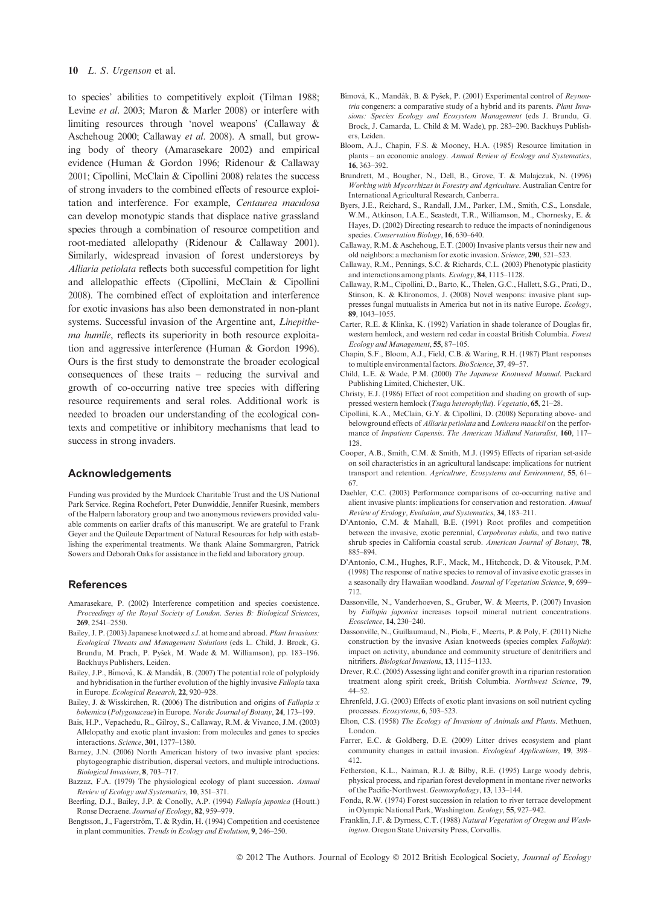to species' abilities to competitively exploit (Tilman 1988; Levine et al. 2003; Maron & Marler 2008) or interfere with limiting resources through 'novel weapons' (Callaway & Aschehoug 2000; Callaway et al. 2008). A small, but growing body of theory (Amarasekare 2002) and empirical evidence (Human & Gordon 1996; Ridenour & Callaway 2001; Cipollini, McClain & Cipollini 2008) relates the success of strong invaders to the combined effects of resource exploitation and interference. For example, Centaurea maculosa can develop monotypic stands that displace native grassland species through a combination of resource competition and root-mediated allelopathy (Ridenour & Callaway 2001). Similarly, widespread invasion of forest understoreys by Alliaria petiolata reflects both successful competition for light and allelopathic effects (Cipollini, McClain & Cipollini 2008). The combined effect of exploitation and interference for exotic invasions has also been demonstrated in non-plant systems. Successful invasion of the Argentine ant, Linepithema humile, reflects its superiority in both resource exploitation and aggressive interference (Human & Gordon 1996). Ours is the first study to demonstrate the broader ecological consequences of these traits – reducing the survival and growth of co-occurring native tree species with differing resource requirements and seral roles. Additional work is needed to broaden our understanding of the ecological contexts and competitive or inhibitory mechanisms that lead to success in strong invaders.

## Acknowledgements

Funding was provided by the Murdock Charitable Trust and the US National Park Service. Regina Rochefort, Peter Dunwiddie, Jennifer Ruesink, members of the Halpern laboratory group and two anonymous reviewers provided valuable comments on earlier drafts of this manuscript. We are grateful to Frank Geyer and the Quileute Department of Natural Resources for help with establishing the experimental treatments. We thank Alaine Sommargren, Patrick Sowers and Deborah Oaks for assistance in the field and laboratory group.

## **References**

- Amarasekare, P. (2002) Interference competition and species coexistence. Proceedings of the Royal Society of London. Series B: Biological Sciences, 269, 2541–2550.
- Bailey, J. P. (2003) Japanese knotweed s.l. at home and abroad. Plant Invasions: Ecological Threats and Management Solutions (eds L. Child, J. Brock, G. Brundu, M. Prach, P. Pyšek, M. Wade & M. Williamson), pp. 183-196. Backhuys Publishers, Leiden.
- Bailey, J.P., Bímová, K. & Mandák, B. (2007) The potential role of polyploidy and hybridisation in the further evolution of the highly invasive Fallopia taxa in Europe. Ecological Research, 22, 920–928.
- Bailey, J. & Wisskirchen, R. (2006) The distribution and origins of Fallopia x bohemica (Polygonaceae) in Europe. Nordic Journal of Botany, 24, 173–199.
- Bais, H.P., Vepachedu, R., Gilroy, S., Callaway, R.M. & Vivanco, J.M. (2003) Allelopathy and exotic plant invasion: from molecules and genes to species interactions. Science, 301, 1377–1380.
- Barney, J.N. (2006) North American history of two invasive plant species: phytogeographic distribution, dispersal vectors, and multiple introductions. Biological Invasions, 8, 703–717.
- Bazzaz, F.A. (1979) The physiological ecology of plant succession. Annual Review of Ecology and Systematics, 10, 351–371.
- Beerling, D.J., Bailey, J.P. & Conolly, A.P. (1994) Fallopia japonica (Houtt.) Ronse Decraene. Journal of Ecology, 82, 959–979.
- Bengtsson, J., Fagerström, T. & Rydin, H. (1994) Competition and coexistence in plant communities. Trends in Ecology and Evolution, 9, 246–250.
- Bímová, K., Mandák, B. & Pyšek, P. (2001) Experimental control of Reynoutria congeners: a comparative study of a hybrid and its parents. Plant Invasions: Species Ecology and Ecosystem Management (eds J. Brundu, G. Brock, J. Camarda, L. Child & M. Wade), pp. 283–290. Backhuys Publishers, Leiden.
- Bloom, A.J., Chapin, F.S. & Mooney, H.A. (1985) Resource limitation in plants – an economic analogy. Annual Review of Ecology and Systematics, 16, 363–392.
- Brundrett, M., Bougher, N., Dell, B., Grove, T. & Malajczuk, N. (1996) Working with Mycorrhizas in Forestry and Agriculture. Australian Centre for International Agricultural Research, Canberra.
- Byers, J.E., Reichard, S., Randall, J.M., Parker, I.M., Smith, C.S., Lonsdale, W.M., Atkinson, I.A.E., Seastedt, T.R., Williamson, M., Chornesky, E. & Hayes, D. (2002) Directing research to reduce the impacts of nonindigenous species. Conservation Biology, 16, 630-640.
- Callaway, R.M. & Aschehoug, E.T. (2000) Invasive plants versus their new and old neighbors: a mechanism for exotic invasion. Science, 290, 521–523.
- Callaway, R.M., Pennings, S.C. & Richards, C.L. (2003) Phenotypic plasticity and interactions among plants. Ecology, 84, 1115–1128.
- Callaway, R.M., Cipollini, D., Barto, K., Thelen, G.C., Hallett, S.G., Prati, D., Stinson, K. & Klironomos, J. (2008) Novel weapons: invasive plant suppresses fungal mutualists in America but not in its native Europe. Ecology, 89, 1043–1055.
- Carter, R.E. & Klinka, K. (1992) Variation in shade tolerance of Douglas fir, western hemlock, and western red cedar in coastal British Columbia. Forest Ecology and Management, 55, 87–105.
- Chapin, S.F., Bloom, A.J., Field, C.B. & Waring, R.H. (1987) Plant responses to multiple environmental factors. BioScience, 37, 49-57.
- Child, L.E. & Wade, P.M. (2000) The Japanese Knotweed Manual. Packard Publishing Limited, Chichester, UK.
- Christy, E.J. (1986) Effect of root competition and shading on growth of suppressed western hemlock (Tsuga heterophylla). Vegetatio, 65, 21–28.
- Cipollini, K.A., McClain, G.Y. & Cipollini, D. (2008) Separating above- and belowground effects of Alliaria petiolata and Lonicera maackii on the performance of Impatiens Capensis. The American Midland Naturalist, 160, 117– 128.
- Cooper, A.B., Smith, C.M. & Smith, M.J. (1995) Effects of riparian set-aside on soil characteristics in an agricultural landscape: implications for nutrient transport and retention. Agriculture, Ecosystems and Environment, 55, 61– 67.
- Daehler, C.C. (2003) Performance comparisons of co-occurring native and alient invasive plants: implications for conservation and restoration. Annual Review of Ecology, Evolution, and Systematics, 34, 183–211.
- D'Antonio, C.M. & Mahall, B.E. (1991) Root profiles and competition between the invasive, exotic perennial, Carpobrotus edulis, and two native shrub species in California coastal scrub. American Journal of Botany, 78, 885–894.
- D'Antonio, C.M., Hughes, R.F., Mack, M., Hitchcock, D. & Vitousek, P.M. (1998) The response of native species to removal of invasive exotic grasses in a seasonally dry Hawaiian woodland. Journal of Vegetation Science, 9, 699-712.
- Dassonville, N., Vanderhoeven, S., Gruber, W. & Meerts, P. (2007) Invasion by Fallopia japonica increases topsoil mineral nutrient concentrations. Ecoscience, 14, 230–240.
- Dassonville, N., Guillaumaud, N., Piola, F., Meerts, P. & Poly, F. (2011) Niche construction by the invasive Asian knotweeds (species complex Fallopia): impact on activity, abundance and community structure of denitrifiers and nitrifiers. Biological Invasions, 13, 1115–1133.
- Drever, R.C. (2005) Assessing light and conifer growth in a riparian restoration treatment along spirit creek, British Columbia. Northwest Science, 79, 44–52.
- Ehrenfeld, J.G. (2003) Effects of exotic plant invasions on soil nutrient cycling processes. Ecosystems, 6, 503–523.
- Elton, C.S. (1958) The Ecology of Invasions of Animals and Plants. Methuen, London.
- Farrer, E.C. & Goldberg, D.E. (2009) Litter drives ecosystem and plant community changes in cattail invasion. Ecological Applications, 19, 398– 412.
- Fetherston, K.L., Naiman, R.J. & Bilby, R.E. (1995) Large woody debris, physical process, and riparian forest development in montane river networks of the Pacific-Northwest. Geomorphology, 13, 133–144.
- Fonda, R.W. (1974) Forest succession in relation to river terrace development in Olympic National Park, Washington. Ecology, 55, 927–942.
- Franklin, J.F. & Dyrness, C.T. (1988) Natural Vegetation of Oregon and Washington. Oregon State University Press, Corvallis.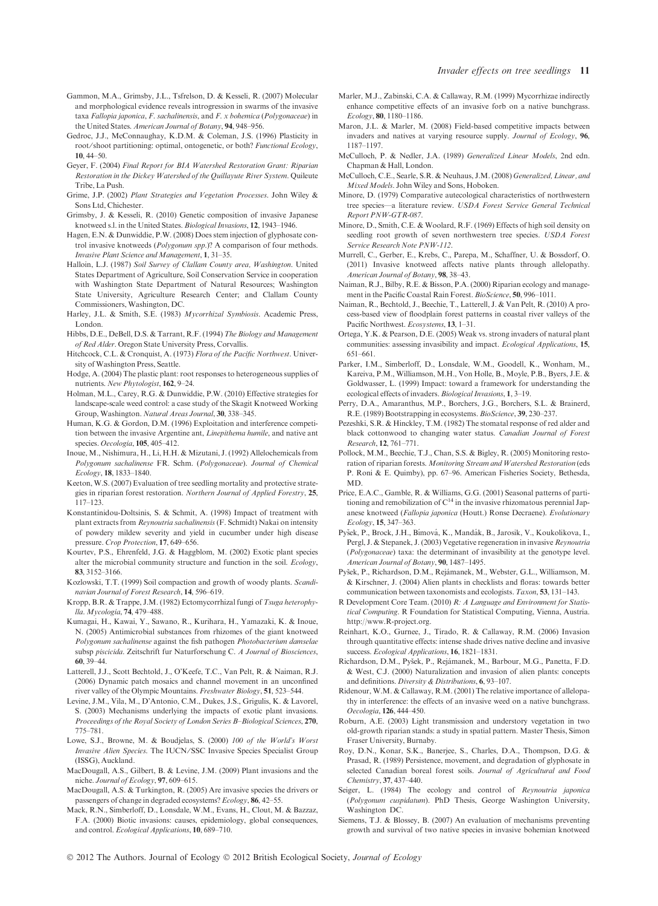- Gammon, M.A., Grimsby, J.L., Tsfrelson, D. & Kesseli, R. (2007) Molecular and morphological evidence reveals introgression in swarms of the invasive taxa Fallopia japonica, F. sachalinensis, and F. x bohemica (Polygonaceae) in the United States. American Journal of Botany, 94, 948–956.
- Gedroc, J.J., McConnaughay, K.D.M. & Coleman, J.S. (1996) Plasticity in root/shoot partitioning: optimal, ontogenetic, or both? Functional Ecology, 10, 44–50.
- Geyer, F. (2004) Final Report for BIA Watershed Restoration Grant: Riparian Restoration in the Dickey Watershed of the Quillayute River System. Quileute Tribe, La Push.
- Grime, J.P. (2002) Plant Strategies and Vegetation Processes. John Wiley & Sons Ltd, Chichester.
- Grimsby, J. & Kesseli, R. (2010) Genetic composition of invasive Japanese knotweed s.l. in the United States. Biological Invasions, 12, 1943–1946.
- Hagen, E.N. & Dunwiddie, P.W. (2008) Does stem injection of glyphosate control invasive knotweeds (Polygonum spp.)? A comparison of four methods. Invasive Plant Science and Management, 1, 31–35.
- Halloin, L.J. (1987) Soil Survey of Clallam County area, Washington. United States Department of Agriculture, Soil Conservation Service in cooperation with Washington State Department of Natural Resources; Washington State University, Agriculture Research Center; and Clallam County Commissioners, Washington, DC.
- Harley, J.L. & Smith, S.E. (1983) Mycorrhizal Symbiosis. Academic Press, London.
- Hibbs, D.E., DeBell, D.S. & Tarrant, R.F. (1994) The Biology and Management of Red Alder. Oregon State University Press, Corvallis.
- Hitchcock, C.L. & Cronquist, A. (1973) Flora of the Pacific Northwest. University of Washington Press, Seattle.
- Hodge, A. (2004) The plastic plant: root responses to heterogeneous supplies of nutrients. New Phytologist, 162, 9–24.
- Holman, M.L., Carey, R.G. & Dunwiddie, P.W. (2010) Effective strategies for landscape-scale weed control: a case study of the Skagit Knotweed Working Group, Washington. Natural Areas Journal, 30, 338–345.
- Human, K.G. & Gordon, D.M. (1996) Exploitation and interference competition between the invasive Argentine ant, Linepithema humile, and native ant species. Oecologia, 105, 405–412.
- Inoue, M., Nishimura, H., Li, H.H. & Mizutani, J. (1992) Allelochemicals from Polygonum sachalinense FR. Schm. (Polygonaceae). Journal of Chemical Ecology, 18, 1833–1840.
- Keeton, W.S. (2007) Evaluation of tree seedling mortality and protective strategies in riparian forest restoration. Northern Journal of Applied Forestry, 25, 117–123.
- Konstantinidou-Doltsinis, S. & Schmit, A. (1998) Impact of treatment with plant extracts from Reynoutria sachalinensis (F. Schmidt) Nakai on intensity of powdery mildew severity and yield in cucumber under high disease pressure. Crop Protection, 17, 649–656.
- Kourtev, P.S., Ehrenfeld, J.G. & Haggblom, M. (2002) Exotic plant species alter the microbial community structure and function in the soil. Ecology, 83, 3152–3166.
- Kozlowski, T.T. (1999) Soil compaction and growth of woody plants. Scandinavian Journal of Forest Research, 14, 596–619.
- Kropp, B.R. & Trappe, J.M. (1982) Ectomycorrhizal fungi of Tsuga heterophylla. Mycologia, 74, 479–488.
- Kumagai, H., Kawai, Y., Sawano, R., Kurihara, H., Yamazaki, K. & Inoue, N. (2005) Antimicrobial substances from rhizomes of the giant knotweed Polygonum sachalinense against the fish pathogen Photobacterium damselae subsp piscicida. Zeitschrift fur Naturforschung C. A Journal of Biosciences, 60, 39–44.
- Latterell, J.J., Scott Bechtold, J., O'Keefe, T.C., Van Pelt, R. & Naiman, R.J. (2006) Dynamic patch mosaics and channel movement in an unconfined river valley of the Olympic Mountains. Freshwater Biology, 51, 523–544.
- Levine, J.M., Vila, M., D'Antonio, C.M., Dukes, J.S., Grigulis, K. & Lavorel, S. (2003) Mechanisms underlying the impacts of exotic plant invasions. Proceedings of the Royal Society of London Series B–Biological Sciences, 270, 775–781.
- Lowe, S.J., Browne, M. & Boudjelas, S. (2000) 100 of the World's Worst Invasive Alien Species. The IUCN ⁄ SSC Invasive Species Specialist Group (ISSG), Auckland.
- MacDougall, A.S., Gilbert, B. & Levine, J.M. (2009) Plant invasions and the niche. Journal of Ecology, 97, 609–615.
- MacDougall, A.S. & Turkington, R. (2005) Are invasive species the drivers or passengers of change in degraded ecosystems? Ecology, 86, 42–55.
- Mack, R.N., Simberloff, D., Lonsdale, W.M., Evans, H., Clout, M. & Bazzaz, F.A. (2000) Biotic invasions: causes, epidemiology, global consequences, and control. Ecological Applications, 10, 689–710.
- Marler, M.J., Zabinski, C.A. & Callaway, R.M. (1999) Mycorrhizae indirectly enhance competitive effects of an invasive forb on a native bunchgrass. Ecology, 80, 1180–1186.
- Maron, J.L. & Marler, M. (2008) Field-based competitive impacts between invaders and natives at varying resource supply. Journal of Ecology, 96, 1187–1197.
- McCulloch, P. & Nedler, J.A. (1989) Generalized Linear Models, 2nd edn. Chapman & Hall, London.
- McCulloch, C.E., Searle, S.R. & Neuhaus, J.M. (2008) Generalized, Linear, and Mixed Models. John Wiley and Sons, Hoboken.
- Minore, D. (1979) Comparative autecological characteristics of northwestern tree species—a literature review. USDA Forest Service General Technical Report PNW-GTR-087.
- Minore, D., Smith, C.E. & Woolard, R.F. (1969) Effects of high soil density on seedling root growth of seven northwestern tree species. USDA Forest Service Research Note PNW-112.
- Murrell, C., Gerber, E., Krebs, C., Parepa, M., Schaffner, U. & Bossdorf, O. (2011) Invasive knotweed affects native plants through allelopathy. American Journal of Botany, 98, 38–43.
- Naiman, R.J., Bilby, R.E. & Bisson, P.A. (2000) Riparian ecology and management in the Pacific Coastal Rain Forest. BioScience, 50, 996-1011.
- Naiman, R., Bechtold, J., Beechie, T., Latterell, J. & Van Pelt, R. (2010) A process-based view of floodplain forest patterns in coastal river valleys of the Pacific Northwest. Ecosystems, 13, 1–31.
- Ortega, Y.K. & Pearson, D.E. (2005) Weak vs. strong invaders of natural plant communities: assessing invasibility and impact. Ecological Applications, 15, 651–661.
- Parker, I.M., Simberloff, D., Lonsdale, W.M., Goodell, K., Wonham, M., Kareiva, P.M., Williamson, M.H., Von Holle, B., Moyle, P.B., Byers, J.E. & Goldwasser, L. (1999) Impact: toward a framework for understanding the ecological effects of invaders. Biological Invasions, 1, 3–19.
- Perry, D.A., Amaranthus, M.P., Borchers, J.G., Borchers, S.L. & Brainerd, R.E. (1989) Bootstrapping in ecosystems. BioScience, 39, 230–237.
- Pezeshki, S.R. & Hinckley, T.M. (1982) The stomatal response of red alder and black cottonwood to changing water status. Canadian Journal of Forest Research, 12, 761–771.
- Pollock, M.M., Beechie, T.J., Chan, S.S. & Bigley, R. (2005) Monitoring restoration of riparian forests. Monitoring Stream and Watershed Restoration (eds P. Roni & E. Quimby), pp. 67–96. American Fisheries Society, Bethesda, MD.
- Price, E.A.C., Gamble, R. & Williams, G.G. (2001) Seasonal patterns of partitioning and remobilization of  $C^{14}$  in the invasive rhizomatous perennial Japanese knotweed (Fallopia japonica (Houtt.) Ronse Decraene). Evolutionary Ecology, 15, 347–363.
- Pyšek, P., Brock, J.H., Bímová, K., Mandák, B., Jarosik, V., Koukolikova, I., Pergl, J. & Stepanek, J. (2003) Vegetative regeneration in invasive Reynoutria (Polygonaceae) taxa: the determinant of invasibility at the genotype level. American Journal of Botany, 90, 1487–1495.
- Pyšek, P., Richardson, D.M., Rejámanek, M., Webster, G.L., Williamson, M. & Kirschner, J. (2004) Alien plants in checklists and floras: towards better communication between taxonomists and ecologists. Taxon, 53, 131–143.
- R Development Core Team. (2010) R: A Language and Environment for Statistical Computing. R Foundation for Statistical Computing, Vienna, Austria. http://www.R-project.org.
- Reinhart, K.O., Gurnee, J., Tirado, R. & Callaway, R.M. (2006) Invasion through quantitative effects: intense shade drives native decline and invasive success. Ecological Applications, 16, 1821-1831.
- Richardson, D.M., Pyšek, P., Rejámanek, M., Barbour, M.G., Panetta, F.D. & West, C.J. (2000) Naturalization and invasion of alien plants: concepts and definitions. Diversity & Distributions, 6, 93–107.
- Ridenour, W.M. & Callaway, R.M. (2001) The relative importance of allelopathy in interference: the effects of an invasive weed on a native bunchgrass. Oecologia, 126, 444–450.
- Roburn, A.E. (2003) Light transmission and understory vegetation in two old-growth riparian stands: a study in spatial pattern. Master Thesis, Simon Fraser University, Burnaby.
- Roy, D.N., Konar, S.K., Banerjee, S., Charles, D.A., Thompson, D.G. & Prasad, R. (1989) Persistence, movement, and degradation of glyphosate in selected Canadian boreal forest soils. Journal of Agricultural and Food Chemistry, 37, 437–440.
- Seiger, L. (1984) The ecology and control of Reynoutria japonica (Polygonum cuspidatum). PhD Thesis, George Washington University, Washington DC.
- Siemens, T.J. & Blossey, B. (2007) An evaluation of mechanisms preventing growth and survival of two native species in invasive bohemian knotweed